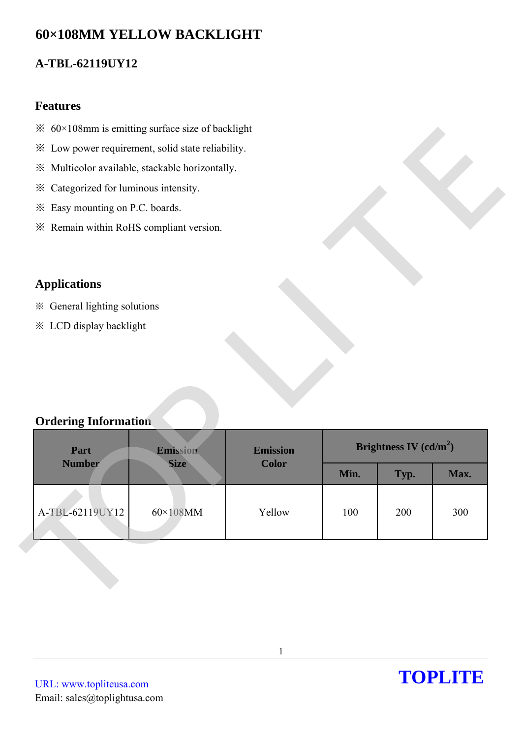# **60×108MM YELLOW BACKLIGHT**

## **A-TBL-62119UY12**

#### **Features**

- $\frac{1}{2}$  60×108mm is emitting surface size of backlight
- ※ Low power requirement, solid state reliability.
- ※ Multicolor available, stackable horizontally.
- ※ Categorized for luminous intensity.
- ※ Easy mounting on P.C. boards.
- ※ Remain within RoHS compliant version.

## **Applications**

- ※ General lighting solutions
- ※ LCD display backlight

### **Ordering Information**

| * Low power requirement, solid state reliability. |                  |                 |                          |      |      |
|---------------------------------------------------|------------------|-----------------|--------------------------|------|------|
| ※ Multicolor available, stackable horizontally.   |                  |                 |                          |      |      |
| * Categorized for luminous intensity.             |                  |                 |                          |      |      |
| * Easy mounting on P.C. boards.                   |                  |                 |                          |      |      |
| * Remain within RoHS compliant version.           |                  |                 |                          |      |      |
|                                                   |                  |                 |                          |      |      |
| <b>Applications</b>                               |                  |                 |                          |      |      |
| ※ General lighting solutions                      |                  |                 |                          |      |      |
| * LCD display backlight                           |                  |                 |                          |      |      |
|                                                   |                  |                 |                          |      |      |
|                                                   |                  |                 |                          |      |      |
|                                                   |                  |                 |                          |      |      |
|                                                   |                  |                 |                          |      |      |
| <b>Ordering Information</b>                       |                  |                 |                          |      |      |
| Part                                              | Emission         | <b>Emission</b> | Brightness IV $(cd/m^2)$ |      |      |
| <b>Number</b>                                     | <b>Size</b>      | <b>Color</b>    | Min.                     | Typ. | Max. |
|                                                   |                  |                 |                          |      |      |
| A-TBL-62119UY12                                   | $60\times108$ MM | Yellow          | 100                      | 200  | 300  |
|                                                   |                  |                 |                          |      |      |
|                                                   |                  |                 |                          |      |      |
|                                                   |                  |                 |                          |      |      |
|                                                   |                  |                 |                          |      |      |
|                                                   |                  |                 |                          |      |      |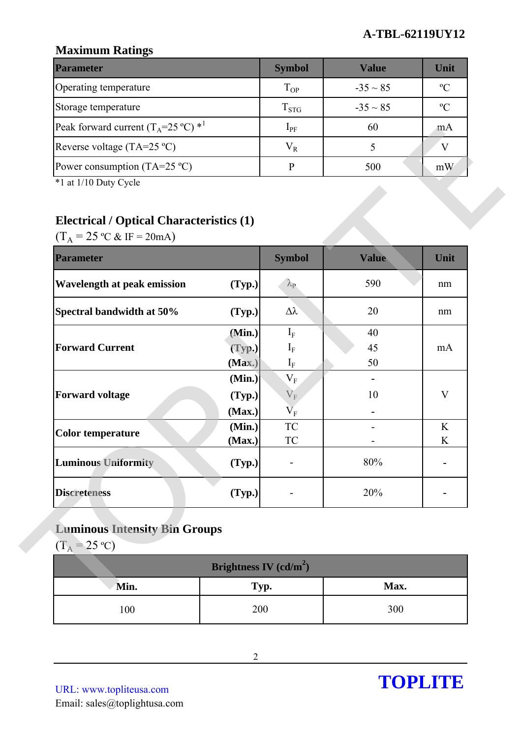### **A-TBL-62119UY12**

## **Maximum Ratings**

| <b>Parameter</b>                                        | <b>Symbol</b> | Value         | Unit          |
|---------------------------------------------------------|---------------|---------------|---------------|
| Operating temperature                                   | $T_{OP}$      | $-35 \sim 85$ | $\mathcal{O}$ |
| Storage temperature                                     | $T_{STG}$     | $-35 \sim 85$ | $\mathcal{C}$ |
| Peak forward current $(T_A=25 \degree C)$ <sup>*1</sup> | $1_{\rm PF}$  | 60            | m A           |
| Reverse voltage (TA=25 $^{\circ}$ C)                    | $\rm V_R$     |               |               |
| Power consumption (TA=25 $^{\circ}$ C)                  |               | 500           | mW            |

## **Electrical / Optical Characteristics (1)**

| $(T_A = 25 \text{ °C} \& \text{ IF} = 20 \text{ mA})$<br><b>Parameter</b> |        | <b>Symbol</b>           | <b>Value</b> | Unit         |
|---------------------------------------------------------------------------|--------|-------------------------|--------------|--------------|
| Wavelength at peak emission                                               | (Typ.) | $\lambda_{\rm P}$       | 590          | nm           |
| Spectral bandwidth at 50%                                                 | (Typ.) | $\Delta \lambda$        | 20           | nm           |
|                                                                           | (Min.) | $I_{\rm F}$             | 40           |              |
| <b>Forward Current</b>                                                    | (Typ.) | $I_F$                   | 45           | mA           |
|                                                                           | (Max.) | $I_{\rm F}$             | 50           |              |
|                                                                           | (Min.) | $\mathbf{V}_{\text{F}}$ |              |              |
| <b>Forward voltage</b>                                                    | (Typ.) | $V_F$                   | 10           | $\mathbf{V}$ |
|                                                                           | (Max.) | $\rm V_F$               |              |              |
| <b>Color temperature</b>                                                  | (Min.) | ${\rm TC}$              |              | K            |
|                                                                           | (Max.) | TC                      |              | K            |
| <b>Luminous Uniformity</b>                                                | (Typ.) |                         | 80%          |              |
| <b>Discreteness</b>                                                       | (Typ.) |                         | 20%          |              |

# **Luminous Intensity Bin Groups**

| Brightness IV (cd/m <sup>2</sup> ) |      |      |  |  |
|------------------------------------|------|------|--|--|
| Min.                               | Typ. | Max. |  |  |
| 100                                | 200  | 300  |  |  |

URL: www.topliteusa.com Email: sales@toplightusa.com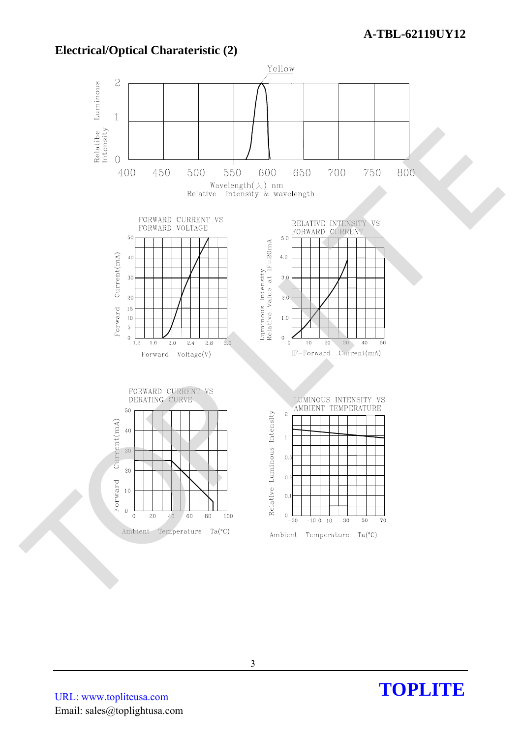

**Electrical/Optical Charateristic (2)** 

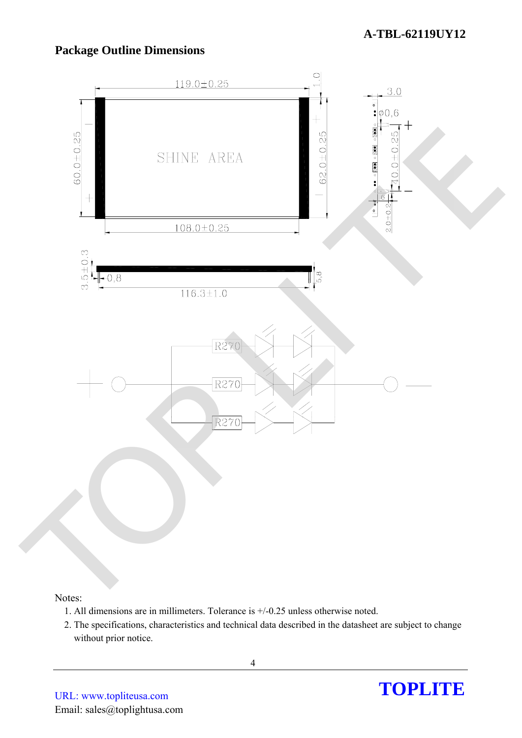## **Package Outline Dimensions**



#### Notes:

- 1. All dimensions are in millimeters. Tolerance is +/-0.25 unless otherwise noted.
- 2. The specifications, characteristics and technical data described in the datasheet are subject to change without prior notice.